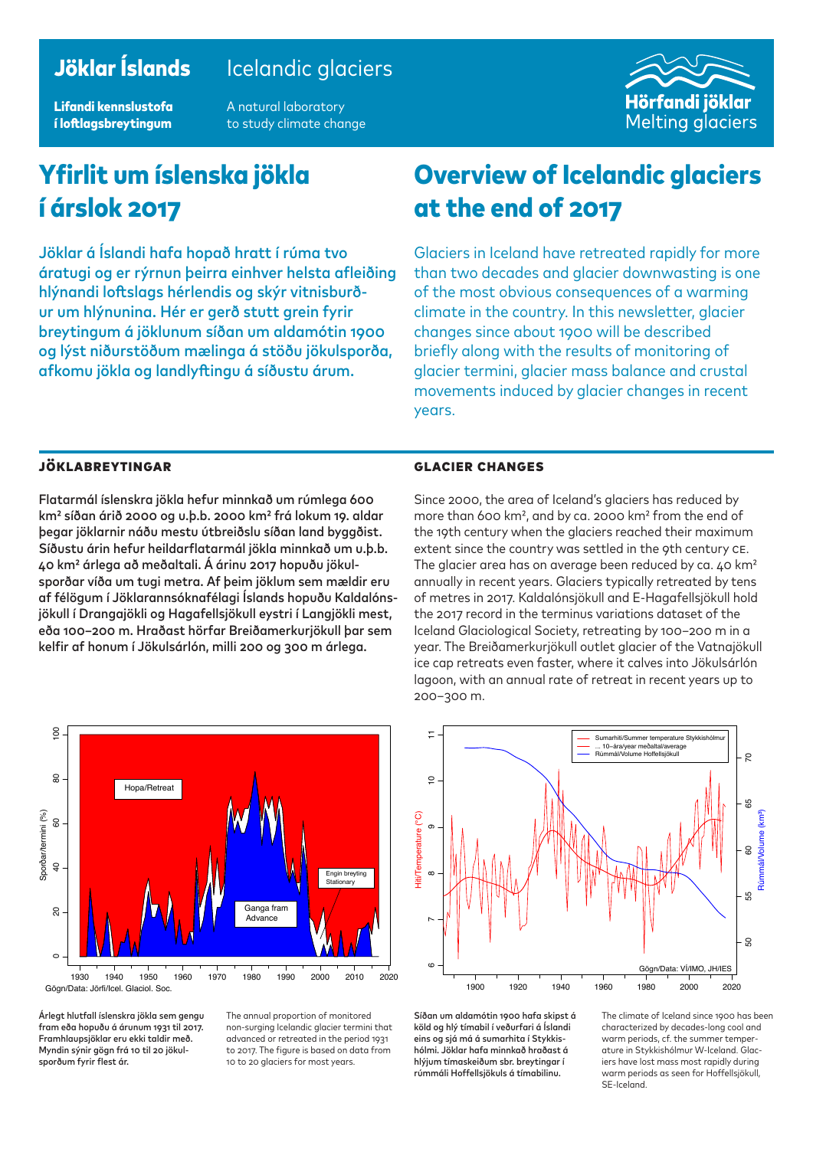### Jöklar Íslands Icelandic glaciers

Lifandi kennslustofa í loftlagsbreytingum

A natural laboratory to study climate change



# Yfirlit um íslenska jökla í árslok 2017

Jöklar á Íslandi hafa hopað hratt í rúma tvo áratugi og er rýrnun þeirra einhver helsta afleiðing hlýnandi loftslags hérlendis og skýr vitnisburður um hlýnunina. Hér er gerð stutt grein fyrir breytingum á jöklunum síðan um aldamótin 1900 og lýst niðurstöðum mælinga á stöðu jökulsporða, afkomu jökla og landlyftingu á síðustu árum.

## Overview of Icelandic glaciers at the end of 2017

Glaciers in Iceland have retreated rapidly for more than two decades and glacier downwasting is one of the most obvious consequences of a warming climate in the country. In this newsletter, glacier changes since about 1900 will be described briefly along with the results of monitoring of glacier termini, glacier mass balance and crustal movements induced by glacier changes in recent years.

#### Jöklabreytingar

Flatarmál íslenskra jökla hefur minnkað um rúmlega 600 km2 síðan árið 2000 og u.þ.b. 2000 km2 frá lokum 19. aldar þegar jöklarnir náðu mestu útbreiðslu síðan land byggðist. Síðustu árin hefur heildarflatarmál jökla minnkað um u.þ.b. 40 km2 árlega að meðaltali. Á árinu 2017 hopuðu jökulsporðar víða um tugi metra. Af þeim jöklum sem mældir eru af félögum í Jöklarannsóknafélagi Íslands hopuðu Kaldalónsjökull í Drangajökli og Hagafellsjökull eystri í Langjökli mest, eða 100–200 m. Hraðast hörfar Breiðamerkurjökull þar sem kelfir af honum í Jökulsárlón, milli 200 og 300 m árlega.



Árlegt hlutfall íslenskra jökla sem gengu fram eða hopuðu á árunum 1931 til 2017. Framhlaupsjöklar eru ekki taldir með. Myndin sýnir gögn frá 10 til 20 jökulsporðum fyrir flest ár.

The annual proportion of monitored non-surging Icelandic glacier termini that advanced or retreated in the period 1931 to 2017. The figure is based on data from 10 to 20 glaciers for most years.

#### Glacier changes

Since 2000, the area of Iceland's glaciers has reduced by more than 600 km2, and by ca. 2000 km2 from the end of the 19th century when the glaciers reached their maximum extent since the country was settled in the 9th century CE. The glacier area has on average been reduced by ca. 40 km<sup>2</sup> annually in recent years. Glaciers typically retreated by tens of metres in 2017. Kaldalónsjökull and E-Hagafellsjökull hold the 2017 record in the terminus variations dataset of the Iceland Glaciological Society, retreating by 100–200 m in a year. The Breiðamerkurjökull outlet glacier of the Vatnajökull ice cap retreats even faster, where it calves into Jökulsárlón lagoon, with an annual rate of retreat in recent years up to 200–300 m.



Síðan um aldamótin 1900 hafa skipst á köld og hlý tímabil í veðurfari á Íslandi eins og sjá má á sumarhita í Stykkishólmi. Jöklar hafa minnkað hraðast á hlýjum tímaskeiðum sbr. breytingar í rúmmáli Hoffellsjökuls á tímabilinu.

The climate of Iceland since 1900 has been characterized by decades-long cool and warm periods, cf. the summer temperature in Stykkishólmur W-Iceland. Glaciers have lost mass most rapidly during warm periods as seen for Hoffellsjökull, SE-Iceland.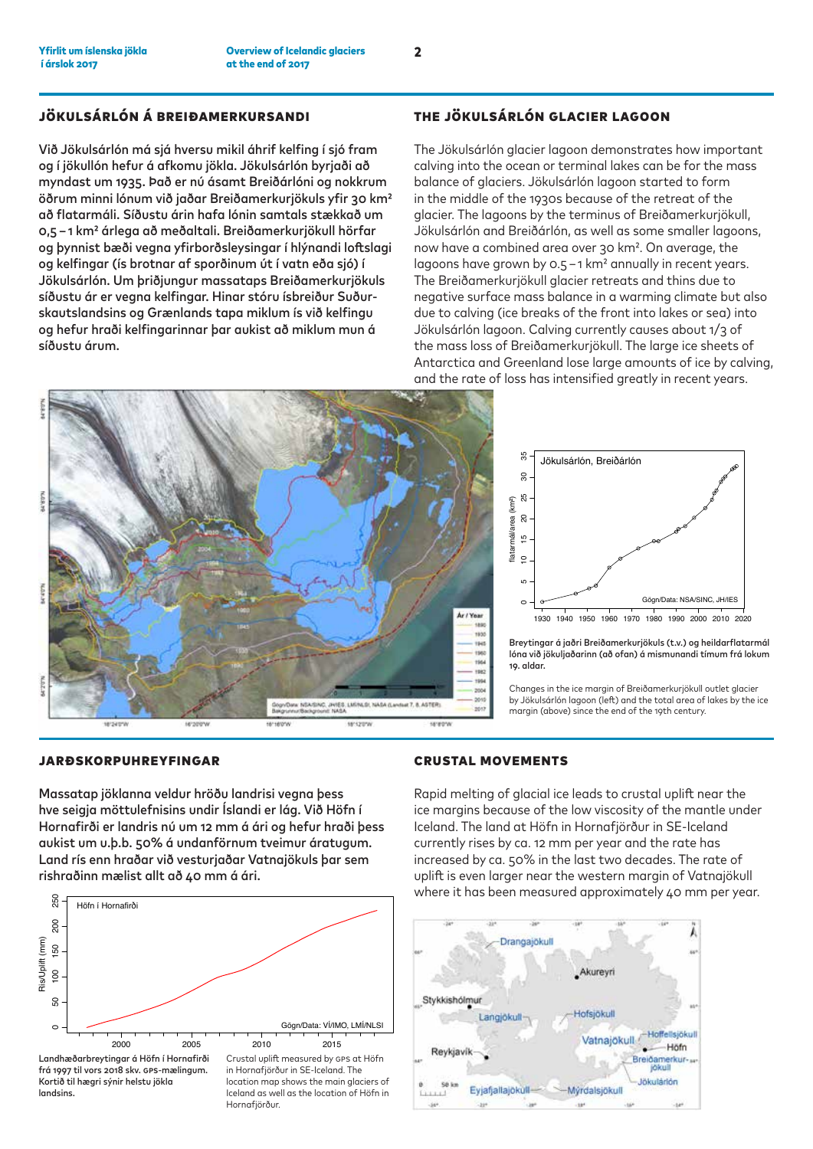#### Jökulsárlón á Breiðamerkursandi

Við Jökulsárlón má sjá hversu mikil áhrif kelfing í sjó fram og í jökullón hefur á afkomu jökla. Jökulsárlón byrjaði að myndast um 1935. Það er nú ásamt Breiðárlóni og nokkrum öðrum minni lónum við jaðar Breiðamerkurjökuls yfir 30 km2 að flatarmáli. Síðustu árin hafa lónin samtals stækkað um 0,5 – 1 km2 árlega að meðaltali. Breiðamerkurjökull hörfar og þynnist bæði vegna yfirborðsleysingar í hlýnandi loftslagi og kelfingar (ís brotnar af sporðinum út í vatn eða sjó) í Jökulsárlón. Um þriðjungur massataps Breiðamerkurjökuls síðustu ár er vegna kelfingar. Hinar stóru ísbreiður Suðurskautslandsins og Grænlands tapa miklum ís við kelfingu og hefur hraði kelfingarinnar þar aukist að miklum mun á síðustu árum.

#### The Jökulsárlón glacier lagoon

The Jökulsárlón glacier lagoon demonstrates how important calving into the ocean or terminal lakes can be for the mass balance of glaciers. Jökulsárlón lagoon started to form in the middle of the 1930s because of the retreat of the glacier. The lagoons by the terminus of Breiðamerkurjökull, Jökulsárlón and Breiðárlón, as well as some smaller lagoons, now have a combined area over 30 km2. On average, the lagoons have grown by 0.5 -1 km<sup>2</sup> annually in recent years. The Breiðamerkurjökull glacier retreats and thins due to negative surface mass balance in a warming climate but also due to calving (ice breaks of the front into lakes or sea) into Jökulsárlón lagoon. Calving currently causes about 1/3 of the mass loss of Breiðamerkurjökull. The large ice sheets of Antarctica and Greenland lose large amounts of ice by calving, and the rate of loss has intensified greatly in recent years.





Breytingar á jaðri Breiðamerkurjökuls (t.v.) og heildarflatarmál lóna við jökuljaðarinn (að ofan) á mismunandi tímum frá lokum 19. aldar.

Changes in the ice margin of Breiðamerkurjökull outlet glacier by Jökulsárlón lagoon (left) and the total area of lakes by the ice margin (above) since the end of the 19th century.

#### Jarðskorpuhreyfingar

Massatap jöklanna veldur hröðu landrisi vegna þess hve seigja möttulefnisins undir Íslandi er lág. Við Höfn í Hornafirði er landris nú um 12 mm á ári og hefur hraði þess aukist um u.þ.b. 50% á undanförnum tveimur áratugum. Land rís enn hraðar við vesturjaðar Vatnajökuls þar sem rishraðinn mælist allt að 40 mm á ári.



#### Crustal movements

Rapid melting of glacial ice leads to crustal uplift near the ice margins because of the low viscosity of the mantle under Iceland. The land at Höfn in Hornafjörður in SE-Iceland currently rises by ca. 12 mm per year and the rate has increased by ca. 50% in the last two decades. The rate of uplift is even larger near the western margin of Vatnajökull where it has been measured approximately 40 mm per year.

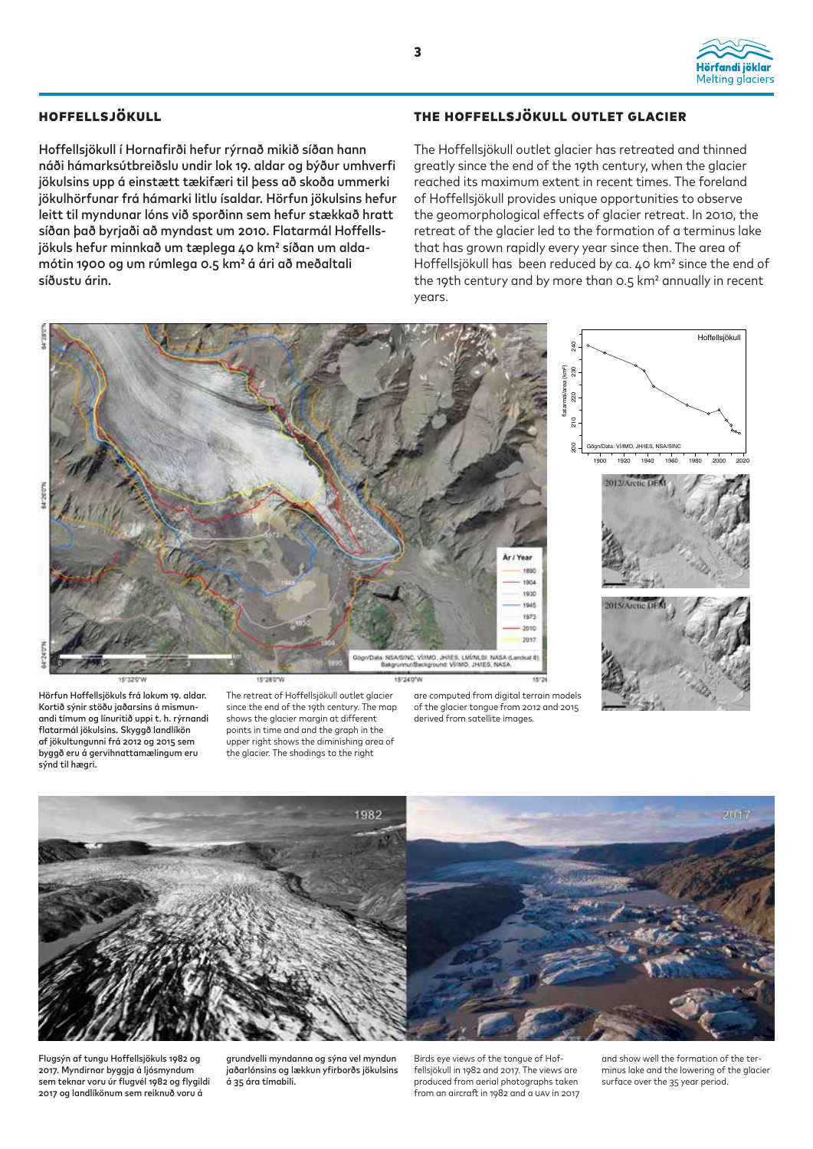

#### Hoffellsjökull

Hoffellsjökull í Hornafirði hefur rýrnað mikið síðan hann náði hámarksútbreiðslu undir lok 19. aldar og býður umhverfi jökulsins upp á einstætt tækifæri til þess að skoða ummerki jökulhörfunar frá hámarki litlu ísaldar. Hörfun jökulsins hefur leitt til myndunar lóns við sporðinn sem hefur stækkað hratt síðan það byrjaði að myndast um 2010. Flatarmál Hoffellsjökuls hefur minnkað um tæplega 40 km2 síðan um aldamótin 1900 og um rúmlega 0.5 km2 á ári að meðaltali síðustu árin.

#### The Hoffellsjökull outlet glacier

The Hoffellsjökull outlet glacier has retreated and thinned greatly since the end of the 19th century, when the glacier reached its maximum extent in recent times. The foreland of Hoffellsjökull provides unique opportunities to observe the geomorphological effects of glacier retreat. In 2010, the retreat of the glacier led to the formation of a terminus lake that has grown rapidly every year since then. The area of Hoffellsjökull has been reduced by ca. 40 km² since the end of the 19th century and by more than 0.5 km² annually in recent years.



Kortið sýnir stöðu jaðarsins á mismunandi tímum og línuritið uppi t. h. rýrnandi flatarmál jökulsins. Skyggð landlíkön af jökultungunni frá 2012 og 2015 sem byggð eru á gervihnattamælingum eru sýnd til hægri.

since the end of the 19th century. The map shows the glacier margin at different points in time and and the graph in the upper right shows the diminishing area of the glacier. The shadings to the right

of the glacier tongue from 2012 and 2015 derived from satellite images.



Flugsýn af tungu Hoffellsjökuls 1982 og 2017. Myndirnar byggja á ljósmyndum sem teknar voru úr flugvél 1982 og flygildi 2017 og landlíkönum sem reiknuð voru á

grundvelli myndanna og sýna vel myndun jaðarlónsins og lækkun yfirborðs jökulsins á 35 ára tímabili.

Birds eye views of the tongue of Hoffellsjökull in 1982 and 2017. The views are produced from aerial photographs taken from an aircraft in 1982 and a UAV in 2017 and show well the formation of the terminus lake and the lowering of the glacier surface over the 35 year period.